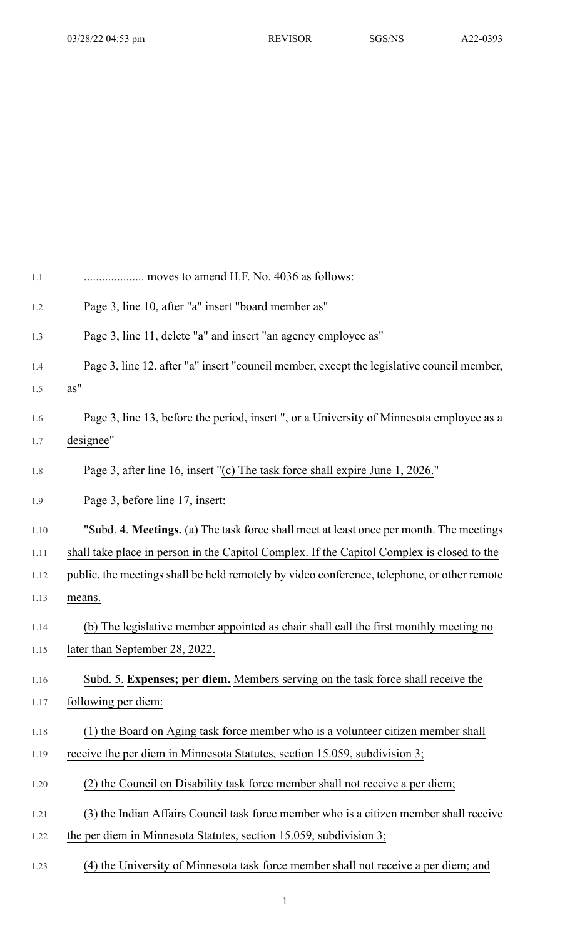| 1.1  | moves to amend H.F. No. 4036 as follows:                                                    |
|------|---------------------------------------------------------------------------------------------|
| 1.2  | Page 3, line 10, after "a" insert "board member as"                                         |
| 1.3  | Page 3, line 11, delete "a" and insert "an agency employee as"                              |
| 1.4  | Page 3, line 12, after "a" insert "council member, except the legislative council member,   |
| 1.5  | as"                                                                                         |
| 1.6  | Page 3, line 13, before the period, insert ", or a University of Minnesota employee as a    |
| 1.7  | designee"                                                                                   |
| 1.8  | Page 3, after line 16, insert "(c) The task force shall expire June 1, 2026."               |
| 1.9  | Page 3, before line 17, insert:                                                             |
| 1.10 | "Subd. 4. Meetings. (a) The task force shall meet at least once per month. The meetings     |
| 1.11 | shall take place in person in the Capitol Complex. If the Capitol Complex is closed to the  |
| 1.12 | public, the meetings shall be held remotely by video conference, telephone, or other remote |
| 1.13 | means.                                                                                      |
| 1.14 | (b) The legislative member appointed as chair shall call the first monthly meeting no       |
| 1.15 | later than September 28, 2022.                                                              |
| 1.16 | Subd. 5. Expenses; per diem. Members serving on the task force shall receive the            |
| 1.17 | following per diem:                                                                         |
| 1.18 | (1) the Board on Aging task force member who is a volunteer citizen member shall            |
| 1.19 | receive the per diem in Minnesota Statutes, section 15.059, subdivision 3;                  |
| 1.20 | (2) the Council on Disability task force member shall not receive a per diem;               |
| 1.21 | (3) the Indian Affairs Council task force member who is a citizen member shall receive      |
| 1.22 | the per diem in Minnesota Statutes, section 15.059, subdivision 3;                          |
| 1.23 | (4) the University of Minnesota task force member shall not receive a per diem; and         |